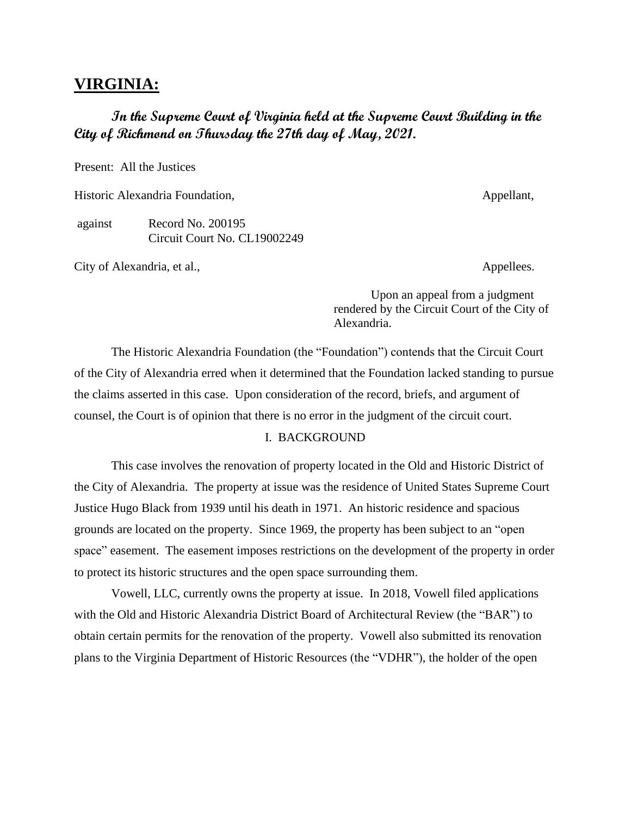# **VIRGINIA:**

# **In the Supreme Court of Virginia held at the Supreme Court Building in the City of Richmond on Thursday the 27th day of May, 2021.**

Present: All the Justices

Historic Alexandria Foundation, and the set of the set of the Appellant, Appellant,

against Record No. 200195 Circuit Court No. CL19002249

City of Alexandria, et al., Appellees.

Upon an appeal from a judgment rendered by the Circuit Court of the City of Alexandria.

The Historic Alexandria Foundation (the "Foundation") contends that the Circuit Court of the City of Alexandria erred when it determined that the Foundation lacked standing to pursue the claims asserted in this case. Upon consideration of the record, briefs, and argument of counsel, the Court is of opinion that there is no error in the judgment of the circuit court.

#### I. BACKGROUND

This case involves the renovation of property located in the Old and Historic District of the City of Alexandria. The property at issue was the residence of United States Supreme Court Justice Hugo Black from 1939 until his death in 1971. An historic residence and spacious grounds are located on the property. Since 1969, the property has been subject to an "open space" easement. The easement imposes restrictions on the development of the property in order to protect its historic structures and the open space surrounding them.

Vowell, LLC, currently owns the property at issue. In 2018, Vowell filed applications with the Old and Historic Alexandria District Board of Architectural Review (the "BAR") to obtain certain permits for the renovation of the property. Vowell also submitted its renovation plans to the Virginia Department of Historic Resources (the "VDHR"), the holder of the open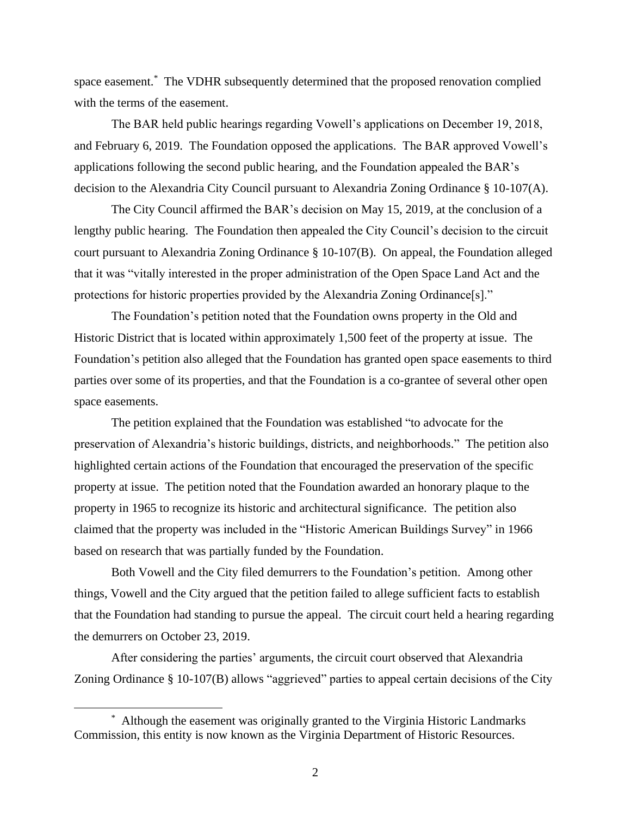space easement. \* The VDHR subsequently determined that the proposed renovation complied with the terms of the easement.

The BAR held public hearings regarding Vowell's applications on December 19, 2018, and February 6, 2019. The Foundation opposed the applications. The BAR approved Vowell's applications following the second public hearing, and the Foundation appealed the BAR's decision to the Alexandria City Council pursuant to Alexandria Zoning Ordinance § 10-107(A).

The City Council affirmed the BAR's decision on May 15, 2019, at the conclusion of a lengthy public hearing. The Foundation then appealed the City Council's decision to the circuit court pursuant to Alexandria Zoning Ordinance § 10-107(B). On appeal, the Foundation alleged that it was "vitally interested in the proper administration of the Open Space Land Act and the protections for historic properties provided by the Alexandria Zoning Ordinance[s]."

The Foundation's petition noted that the Foundation owns property in the Old and Historic District that is located within approximately 1,500 feet of the property at issue. The Foundation's petition also alleged that the Foundation has granted open space easements to third parties over some of its properties, and that the Foundation is a co-grantee of several other open space easements.

The petition explained that the Foundation was established "to advocate for the preservation of Alexandria's historic buildings, districts, and neighborhoods." The petition also highlighted certain actions of the Foundation that encouraged the preservation of the specific property at issue. The petition noted that the Foundation awarded an honorary plaque to the property in 1965 to recognize its historic and architectural significance. The petition also claimed that the property was included in the "Historic American Buildings Survey" in 1966 based on research that was partially funded by the Foundation.

Both Vowell and the City filed demurrers to the Foundation's petition. Among other things, Vowell and the City argued that the petition failed to allege sufficient facts to establish that the Foundation had standing to pursue the appeal. The circuit court held a hearing regarding the demurrers on October 23, 2019.

After considering the parties' arguments, the circuit court observed that Alexandria Zoning Ordinance § 10-107(B) allows "aggrieved" parties to appeal certain decisions of the City

<sup>\*</sup> Although the easement was originally granted to the Virginia Historic Landmarks Commission, this entity is now known as the Virginia Department of Historic Resources.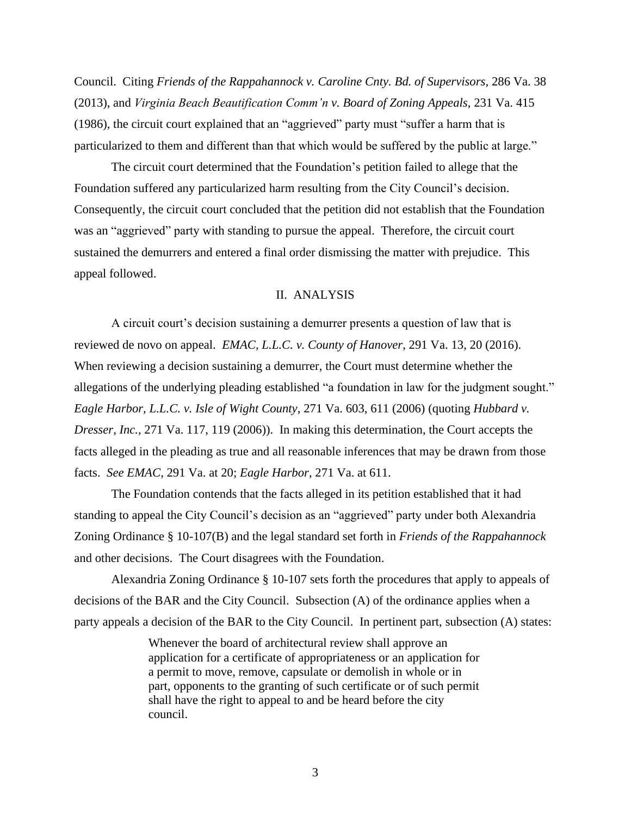Council. Citing *Friends of the Rappahannock v. Caroline Cnty. Bd. of Supervisors*, 286 Va. 38 (2013), and *Virginia Beach Beautification Comm'n v. Board of Zoning Appeals*, 231 Va. 415 (1986), the circuit court explained that an "aggrieved" party must "suffer a harm that is particularized to them and different than that which would be suffered by the public at large."

The circuit court determined that the Foundation's petition failed to allege that the Foundation suffered any particularized harm resulting from the City Council's decision. Consequently, the circuit court concluded that the petition did not establish that the Foundation was an "aggrieved" party with standing to pursue the appeal. Therefore, the circuit court sustained the demurrers and entered a final order dismissing the matter with prejudice. This appeal followed.

### II. ANALYSIS

A circuit court's decision sustaining a demurrer presents a question of law that is reviewed de novo on appeal. *EMAC, L.L.C. v. County of Hanover*, 291 Va. 13, 20 (2016). When reviewing a decision sustaining a demurrer, the Court must determine whether the allegations of the underlying pleading established "a foundation in law for the judgment sought." *Eagle Harbor, L.L.C. v. Isle of Wight County*, 271 Va. 603, 611 (2006) (quoting *Hubbard v. Dresser, Inc.*, 271 Va. 117, 119 (2006)). In making this determination, the Court accepts the facts alleged in the pleading as true and all reasonable inferences that may be drawn from those facts. *See EMAC*, 291 Va. at 20; *Eagle Harbor*, 271 Va. at 611.

The Foundation contends that the facts alleged in its petition established that it had standing to appeal the City Council's decision as an "aggrieved" party under both Alexandria Zoning Ordinance § 10-107(B) and the legal standard set forth in *Friends of the Rappahannock* and other decisions. The Court disagrees with the Foundation.

Alexandria Zoning Ordinance § 10-107 sets forth the procedures that apply to appeals of decisions of the BAR and the City Council. Subsection (A) of the ordinance applies when a party appeals a decision of the BAR to the City Council. In pertinent part, subsection (A) states:

> Whenever the board of architectural review shall approve an application for a certificate of appropriateness or an application for a permit to move, remove, capsulate or demolish in whole or in part, opponents to the granting of such certificate or of such permit shall have the right to appeal to and be heard before the city council.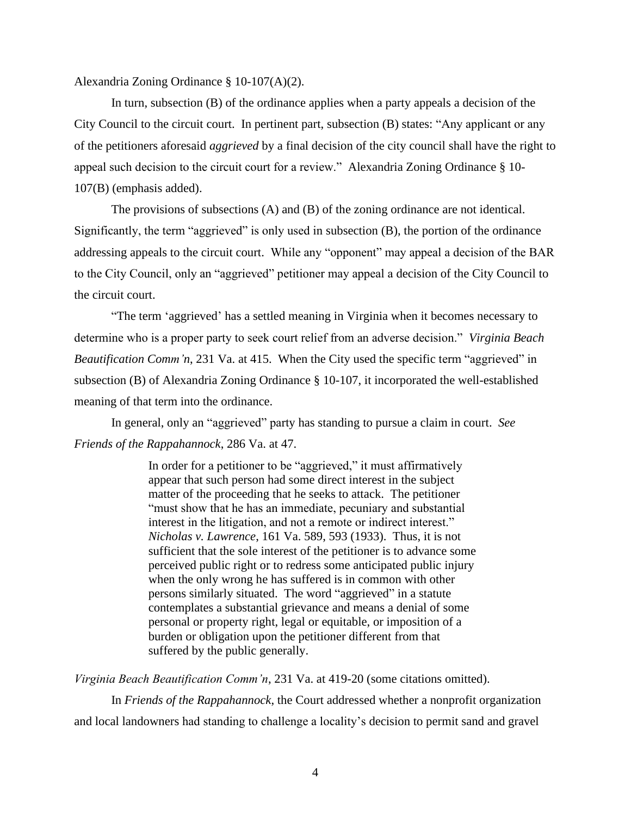Alexandria Zoning Ordinance § 10-107(A)(2).

In turn, subsection (B) of the ordinance applies when a party appeals a decision of the City Council to the circuit court. In pertinent part, subsection (B) states: "Any applicant or any of the petitioners aforesaid *aggrieved* by a final decision of the city council shall have the right to appeal such decision to the circuit court for a review." Alexandria Zoning Ordinance § 10- 107(B) (emphasis added).

The provisions of subsections (A) and (B) of the zoning ordinance are not identical. Significantly, the term "aggrieved" is only used in subsection (B), the portion of the ordinance addressing appeals to the circuit court. While any "opponent" may appeal a decision of the BAR to the City Council, only an "aggrieved" petitioner may appeal a decision of the City Council to the circuit court.

"The term 'aggrieved' has a settled meaning in Virginia when it becomes necessary to determine who is a proper party to seek court relief from an adverse decision." *Virginia Beach Beautification Comm'n,* 231 Va. at 415. When the City used the specific term "aggrieved" in subsection (B) of Alexandria Zoning Ordinance § 10-107, it incorporated the well-established meaning of that term into the ordinance.

In general, only an "aggrieved" party has standing to pursue a claim in court. *See Friends of the Rappahannock*, 286 Va. at 47.

> In order for a petitioner to be "aggrieved," it must affirmatively appear that such person had some direct interest in the subject matter of the proceeding that he seeks to attack. The petitioner "must show that he has an immediate, pecuniary and substantial interest in the litigation, and not a remote or indirect interest." *Nicholas v. Lawrence*, 161 Va. 589, 593 (1933). Thus, it is not sufficient that the sole interest of the petitioner is to advance some perceived public right or to redress some anticipated public injury when the only wrong he has suffered is in common with other persons similarly situated. The word "aggrieved" in a statute contemplates a substantial grievance and means a denial of some personal or property right, legal or equitable, or imposition of a burden or obligation upon the petitioner different from that suffered by the public generally.

*Virginia Beach Beautification Comm'n*, 231 Va. at 419-20 (some citations omitted).

In *Friends of the Rappahannock*, the Court addressed whether a nonprofit organization and local landowners had standing to challenge a locality's decision to permit sand and gravel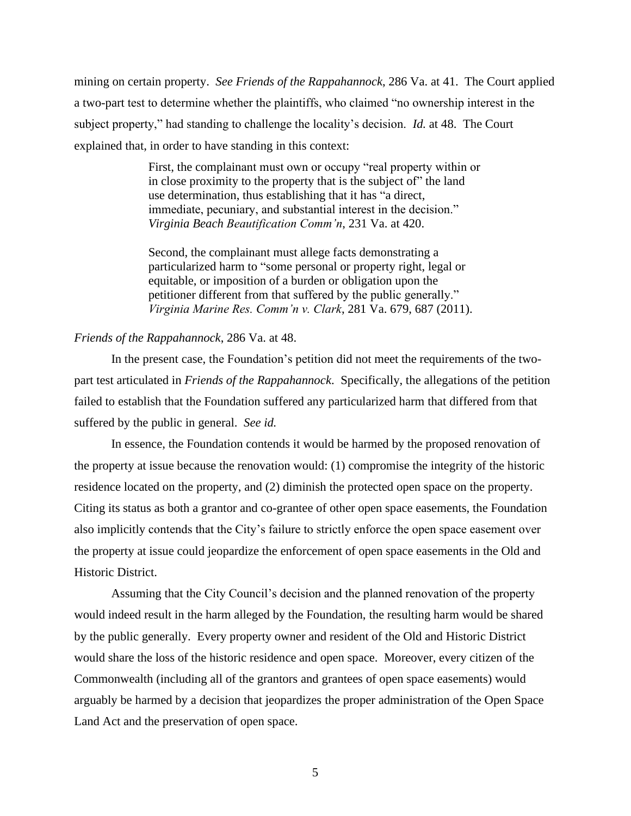mining on certain property. *See Friends of the Rappahannock*, 286 Va. at 41. The Court applied a two-part test to determine whether the plaintiffs, who claimed "no ownership interest in the subject property," had standing to challenge the locality's decision. *Id.* at 48. The Court explained that, in order to have standing in this context:

> First, the complainant must own or occupy "real property within or in close proximity to the property that is the subject of" the land use determination, thus establishing that it has "a direct, immediate, pecuniary, and substantial interest in the decision." *Virginia Beach Beautification Comm'n*, 231 Va. at 420.

Second, the complainant must allege facts demonstrating a particularized harm to "some personal or property right, legal or equitable, or imposition of a burden or obligation upon the petitioner different from that suffered by the public generally." *Virginia Marine Res. Comm'n v. Clark*, 281 Va. 679, 687 (2011).

#### *Friends of the Rappahannock*, 286 Va. at 48.

In the present case, the Foundation's petition did not meet the requirements of the twopart test articulated in *Friends of the Rappahannock*. Specifically, the allegations of the petition failed to establish that the Foundation suffered any particularized harm that differed from that suffered by the public in general. *See id.*

In essence, the Foundation contends it would be harmed by the proposed renovation of the property at issue because the renovation would: (1) compromise the integrity of the historic residence located on the property, and (2) diminish the protected open space on the property. Citing its status as both a grantor and co-grantee of other open space easements, the Foundation also implicitly contends that the City's failure to strictly enforce the open space easement over the property at issue could jeopardize the enforcement of open space easements in the Old and Historic District.

Assuming that the City Council's decision and the planned renovation of the property would indeed result in the harm alleged by the Foundation, the resulting harm would be shared by the public generally. Every property owner and resident of the Old and Historic District would share the loss of the historic residence and open space. Moreover, every citizen of the Commonwealth (including all of the grantors and grantees of open space easements) would arguably be harmed by a decision that jeopardizes the proper administration of the Open Space Land Act and the preservation of open space.

5